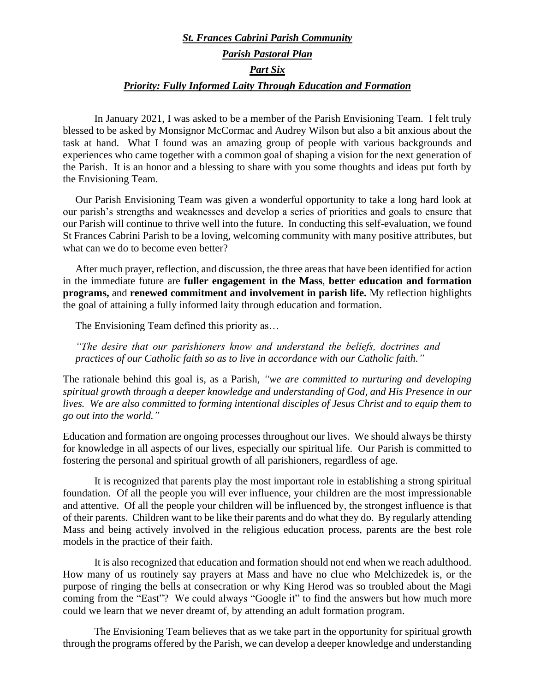## *St. Frances Cabrini Parish Community Parish Pastoral Plan Part Six Priority: Fully Informed Laity Through Education and Formation*

In January 2021, I was asked to be a member of the Parish Envisioning Team. I felt truly blessed to be asked by Monsignor McCormac and Audrey Wilson but also a bit anxious about the task at hand. What I found was an amazing group of people with various backgrounds and experiences who came together with a common goal of shaping a vision for the next generation of the Parish. It is an honor and a blessing to share with you some thoughts and ideas put forth by the Envisioning Team.

Our Parish Envisioning Team was given a wonderful opportunity to take a long hard look at our parish's strengths and weaknesses and develop a series of priorities and goals to ensure that our Parish will continue to thrive well into the future. In conducting this self-evaluation, we found St Frances Cabrini Parish to be a loving, welcoming community with many positive attributes, but what can we do to become even better?

After much prayer, reflection, and discussion, the three areas that have been identified for action in the immediate future are **fuller engagement in the Mass**, **better education and formation programs,** and **renewed commitment and involvement in parish life.** My reflection highlights the goal of attaining a fully informed laity through education and formation.

The Envisioning Team defined this priority as…

*"The desire that our parishioners know and understand the beliefs, doctrines and practices of our Catholic faith so as to live in accordance with our Catholic faith."*

The rationale behind this goal is, as a Parish*, "we are committed to nurturing and developing spiritual growth through a deeper knowledge and understanding of God, and His Presence in our lives. We are also committed to forming intentional disciples of Jesus Christ and to equip them to go out into the world."*

Education and formation are ongoing processes throughout our lives. We should always be thirsty for knowledge in all aspects of our lives, especially our spiritual life. Our Parish is committed to fostering the personal and spiritual growth of all parishioners, regardless of age.

It is recognized that parents play the most important role in establishing a strong spiritual foundation. Of all the people you will ever influence, your children are the most impressionable and attentive. Of all the people your children will be influenced by, the strongest influence is that of their parents. Children want to be like their parents and do what they do. By regularly attending Mass and being actively involved in the religious education process, parents are the best role models in the practice of their faith.

It is also recognized that education and formation should not end when we reach adulthood. How many of us routinely say prayers at Mass and have no clue who Melchizedek is, or the purpose of ringing the bells at consecration or why King Herod was so troubled about the Magi coming from the "East"? We could always "Google it" to find the answers but how much more could we learn that we never dreamt of, by attending an adult formation program.

The Envisioning Team believes that as we take part in the opportunity for spiritual growth through the programs offered by the Parish, we can develop a deeper knowledge and understanding